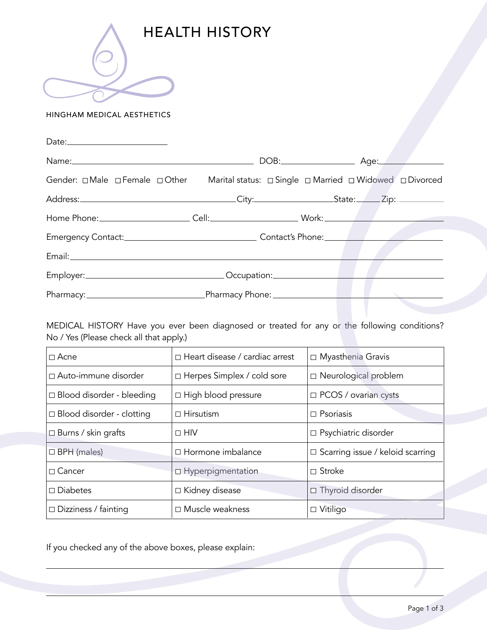

HINGHAM MEDICAL AESTHETICS

| Name: Name: Name: Name: Name: Name: Name: Name: Name: Name: Name: Name: Name: Name: Name: Name: Name: Name: Name: Name: Name: Name: Name: Name: Name: Name: Name: Name: Name: Name: Name: Name: Name: Name: Name: Name: Name: |  |  |
|-------------------------------------------------------------------------------------------------------------------------------------------------------------------------------------------------------------------------------|--|--|
|                                                                                                                                                                                                                               |  |  |
|                                                                                                                                                                                                                               |  |  |
|                                                                                                                                                                                                                               |  |  |
|                                                                                                                                                                                                                               |  |  |
|                                                                                                                                                                                                                               |  |  |
|                                                                                                                                                                                                                               |  |  |
|                                                                                                                                                                                                                               |  |  |

MEDICAL HISTORY Have you ever been diagnosed or treated for any or the following conditions? No / Yes (Please check all that apply.)

| $\Box$ Acne                      | $\Box$ Heart disease / cardiac arrest | □ Myasthenia Gravis                     |
|----------------------------------|---------------------------------------|-----------------------------------------|
| □ Auto-immune disorder           | □ Herpes Simplex / cold sore          | □ Neurological problem                  |
| $\Box$ Blood disorder - bleeding | □ High blood pressure                 | $\Box$ PCOS / ovarian cysts             |
| $\Box$ Blood disorder - clotting | $\Box$ Hirsutism                      | $\Box$ Psoriasis                        |
| $\Box$ Burns / skin grafts       | $\Box$ HIV                            | $\Box$ Psychiatric disorder             |
| $\Box$ BPH (males)               | $\Box$ Hormone imbalance              | $\Box$ Scarring issue / keloid scarring |
| $\Box$ Cancer                    | □ Hyperpigmentation                   | □ Stroke                                |
| $\Box$ Diabetes                  | □ Kidney disease                      | $\Box$ Thyroid disorder                 |
| $\Box$ Dizziness / fainting      | $\Box$ Muscle weakness                | □ Vitiligo                              |

If you checked any of the above boxes, please explain: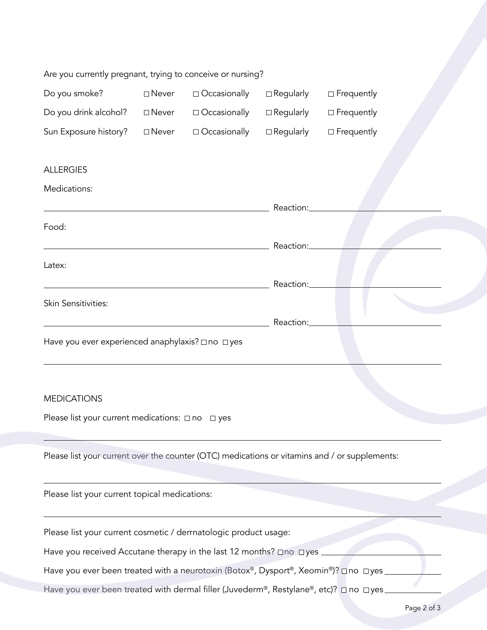| Are you currently pregnant, trying to conceive or nursing? |                 |                     |                  |                   |  |
|------------------------------------------------------------|-----------------|---------------------|------------------|-------------------|--|
| Do you smoke?                                              | $\square$ Never | $\Box$ Occasionally | $\Box$ Regularly | □ Frequently      |  |
| Do you drink alcohol?                                      | $\square$ Never | $\Box$ Occasionally | $\Box$ Regularly | $\Box$ Frequently |  |
| Sun Exposure history?                                      | $\square$ Never | $\Box$ Occasionally | $\Box$ Regularly | $\Box$ Frequently |  |
| <b>ALLERGIES</b><br>Medications:                           |                 |                     |                  |                   |  |
|                                                            |                 |                     | Reaction:        |                   |  |
| Food:                                                      |                 |                     |                  |                   |  |
|                                                            |                 |                     | Reaction:        |                   |  |
| Latex:                                                     |                 |                     |                  |                   |  |
|                                                            |                 |                     | Reaction:        |                   |  |
| Skin Sensitivities:                                        |                 |                     |                  |                   |  |
|                                                            |                 |                     | Reaction:        |                   |  |
| Have you ever experienced anaphylaxis? □ no □ yes          |                 |                     |                  |                   |  |

## **MEDICATIONS**

Please list your current medications:  $\Box$  no  $\Box$  yes

Please list your current over the counter (OTC) medications or vitamins and / or supplements:

Please list your current topical medications:

Please list your current cosmetic / derrnatologic product usage:

Have you received Accutane therapy in the last 12 months?  $\Box$  no  $\Box$  yes

Have you ever been treated with a neurotoxin (Botox®, Dysport®, Xeomin®)? □ no □ yes \_

Have you ever been treated with dermal filler (Juvederm®, Restylane®, etc)?  $\Box$  no  $\Box$  yes.